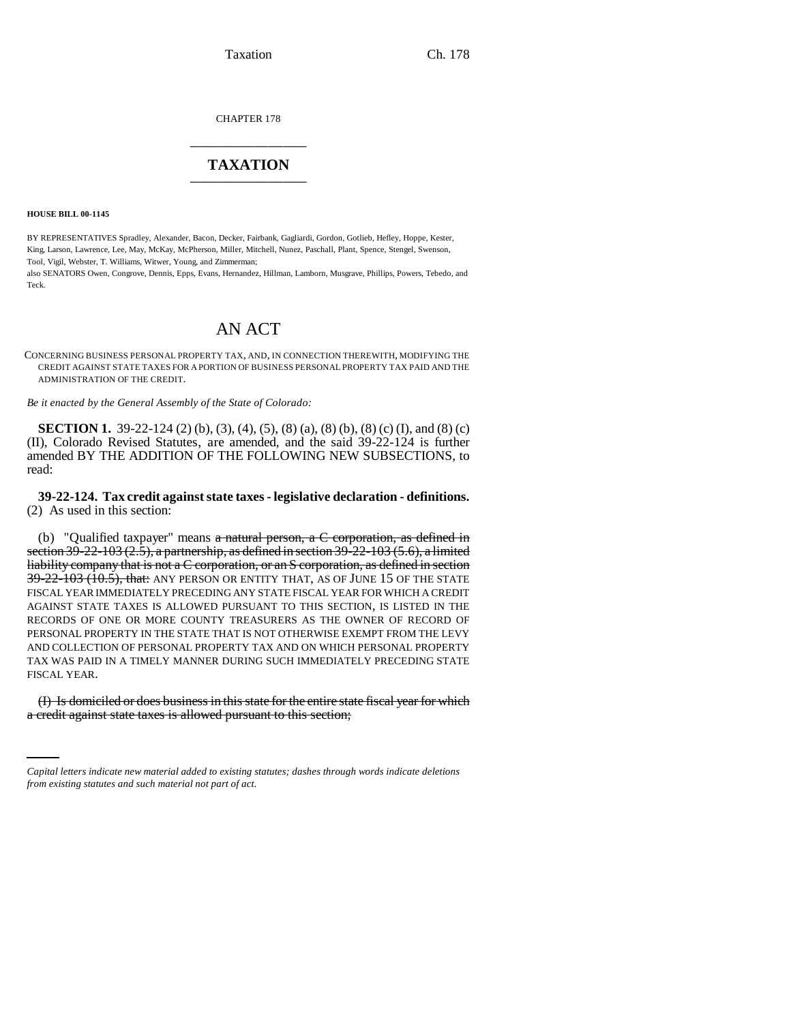Taxation Ch. 178

CHAPTER 178 \_\_\_\_\_\_\_\_\_\_\_\_\_\_\_

## **TAXATION** \_\_\_\_\_\_\_\_\_\_\_\_\_\_\_

**HOUSE BILL 00-1145** 

BY REPRESENTATIVES Spradley, Alexander, Bacon, Decker, Fairbank, Gagliardi, Gordon, Gotlieb, Hefley, Hoppe, Kester, King, Larson, Lawrence, Lee, May, McKay, McPherson, Miller, Mitchell, Nunez, Paschall, Plant, Spence, Stengel, Swenson, Tool, Vigil, Webster, T. Williams, Witwer, Young, and Zimmerman;

also SENATORS Owen, Congrove, Dennis, Epps, Evans, Hernandez, Hillman, Lamborn, Musgrave, Phillips, Powers, Tebedo, and Teck.

# AN ACT

CONCERNING BUSINESS PERSONAL PROPERTY TAX, AND, IN CONNECTION THEREWITH, MODIFYING THE CREDIT AGAINST STATE TAXES FOR A PORTION OF BUSINESS PERSONAL PROPERTY TAX PAID AND THE ADMINISTRATION OF THE CREDIT.

*Be it enacted by the General Assembly of the State of Colorado:*

**SECTION 1.** 39-22-124 (2) (b), (3), (4), (5), (8) (a), (8) (b), (8) (c) (I), and (8) (c) (II), Colorado Revised Statutes, are amended, and the said 39-22-124 is further amended BY THE ADDITION OF THE FOLLOWING NEW SUBSECTIONS, to read:

**39-22-124. Tax credit against state taxes - legislative declaration - definitions.** (2) As used in this section:

(b) "Qualified taxpayer" means  $a$  natural person,  $a$  C corporation, as defined in section  $39-22-103$  (2.5), a partnership, as defined in section  $39-22-103$  (5.6), a limited liability company that is not a C corporation, or an S corporation, as defined in section  $39-22-103$  (10.5), that: ANY PERSON OR ENTITY THAT, AS OF JUNE 15 OF THE STATE FISCAL YEAR IMMEDIATELY PRECEDING ANY STATE FISCAL YEAR FOR WHICH A CREDIT AGAINST STATE TAXES IS ALLOWED PURSUANT TO THIS SECTION, IS LISTED IN THE RECORDS OF ONE OR MORE COUNTY TREASURERS AS THE OWNER OF RECORD OF PERSONAL PROPERTY IN THE STATE THAT IS NOT OTHERWISE EXEMPT FROM THE LEVY AND COLLECTION OF PERSONAL PROPERTY TAX AND ON WHICH PERSONAL PROPERTY TAX WAS PAID IN A TIMELY MANNER DURING SUCH IMMEDIATELY PRECEDING STATE FISCAL YEAR.

(I) Is domiciled or does business in this state for the entire state fiscal year for which a credit against state taxes is allowed pursuant to this section;

*Capital letters indicate new material added to existing statutes; dashes through words indicate deletions from existing statutes and such material not part of act.*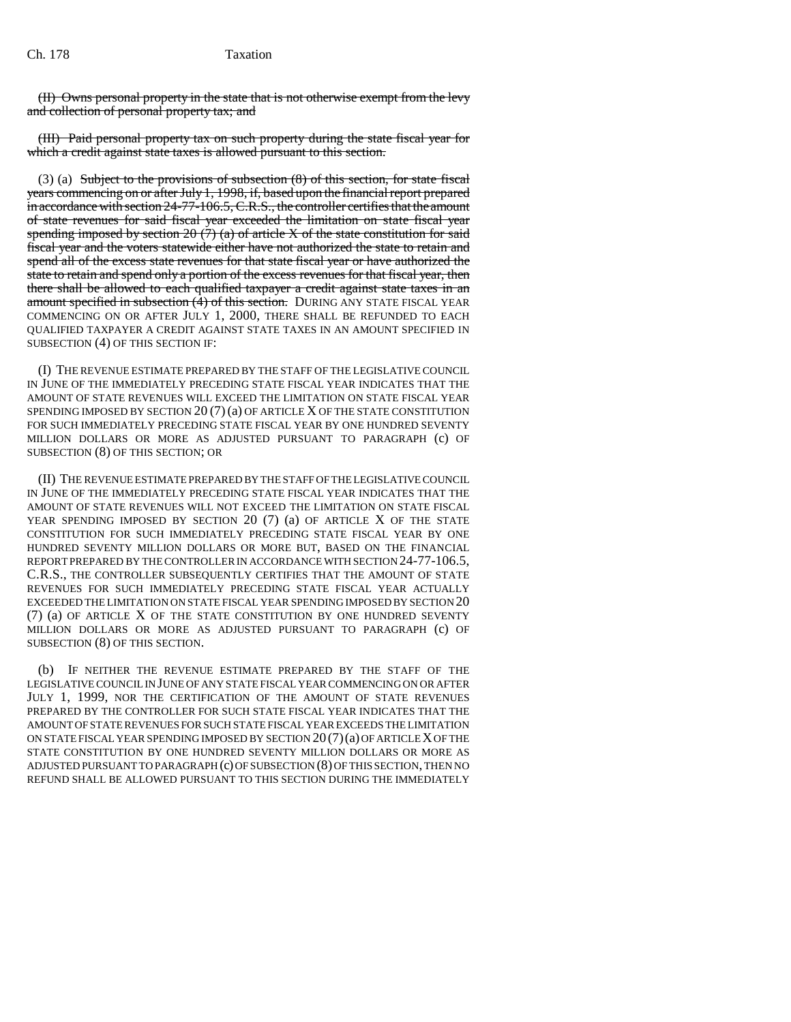(II) Owns personal property in the state that is not otherwise exempt from the levy and collection of personal property tax; and

(III) Paid personal property tax on such property during the state fiscal year for which a credit against state taxes is allowed pursuant to this section.

(3) (a) Subject to the provisions of subsection (8) of this section, for state fiscal years commencing on or after July 1, 1998, if, based upon the financial report prepared in accordance with section 24-77-106.5, C.R.S., the controller certifies that the amount of state revenues for said fiscal year exceeded the limitation on state fiscal year spending imposed by section 20  $(7)$  (a) of article X of the state constitution for said fiscal year and the voters statewide either have not authorized the state to retain and spend all of the excess state revenues for that state fiscal year or have authorized the state to retain and spend only a portion of the excess revenues for that fiscal year, then there shall be allowed to each qualified taxpayer a credit against state taxes in an amount specified in subsection  $(\hat{4})$  of this section. DURING ANY STATE FISCAL YEAR COMMENCING ON OR AFTER JULY 1, 2000, THERE SHALL BE REFUNDED TO EACH QUALIFIED TAXPAYER A CREDIT AGAINST STATE TAXES IN AN AMOUNT SPECIFIED IN SUBSECTION (4) OF THIS SECTION IF:

(I) THE REVENUE ESTIMATE PREPARED BY THE STAFF OF THE LEGISLATIVE COUNCIL IN JUNE OF THE IMMEDIATELY PRECEDING STATE FISCAL YEAR INDICATES THAT THE AMOUNT OF STATE REVENUES WILL EXCEED THE LIMITATION ON STATE FISCAL YEAR SPENDING IMPOSED BY SECTION  $20(7)(a)$  OF ARTICLE X OF THE STATE CONSTITUTION FOR SUCH IMMEDIATELY PRECEDING STATE FISCAL YEAR BY ONE HUNDRED SEVENTY MILLION DOLLARS OR MORE AS ADJUSTED PURSUANT TO PARAGRAPH (c) OF SUBSECTION (8) OF THIS SECTION; OR

(II) THE REVENUE ESTIMATE PREPARED BY THE STAFF OF THE LEGISLATIVE COUNCIL IN JUNE OF THE IMMEDIATELY PRECEDING STATE FISCAL YEAR INDICATES THAT THE AMOUNT OF STATE REVENUES WILL NOT EXCEED THE LIMITATION ON STATE FISCAL YEAR SPENDING IMPOSED BY SECTION 20 (7) (a) OF ARTICLE X OF THE STATE CONSTITUTION FOR SUCH IMMEDIATELY PRECEDING STATE FISCAL YEAR BY ONE HUNDRED SEVENTY MILLION DOLLARS OR MORE BUT, BASED ON THE FINANCIAL REPORT PREPARED BY THE CONTROLLER IN ACCORDANCE WITH SECTION 24-77-106.5, C.R.S., THE CONTROLLER SUBSEQUENTLY CERTIFIES THAT THE AMOUNT OF STATE REVENUES FOR SUCH IMMEDIATELY PRECEDING STATE FISCAL YEAR ACTUALLY EXCEEDED THE LIMITATION ON STATE FISCAL YEAR SPENDING IMPOSED BY SECTION 20 (7) (a) OF ARTICLE X OF THE STATE CONSTITUTION BY ONE HUNDRED SEVENTY MILLION DOLLARS OR MORE AS ADJUSTED PURSUANT TO PARAGRAPH (c) OF SUBSECTION (8) OF THIS SECTION.

(b) IF NEITHER THE REVENUE ESTIMATE PREPARED BY THE STAFF OF THE LEGISLATIVE COUNCIL IN JUNE OF ANY STATE FISCAL YEAR COMMENCING ON OR AFTER JULY 1, 1999, NOR THE CERTIFICATION OF THE AMOUNT OF STATE REVENUES PREPARED BY THE CONTROLLER FOR SUCH STATE FISCAL YEAR INDICATES THAT THE AMOUNT OF STATE REVENUES FOR SUCH STATE FISCAL YEAR EXCEEDS THE LIMITATION ON STATE FISCAL YEAR SPENDING IMPOSED BY SECTION  $20(7)(a)$  OF ARTICLE X OF THE STATE CONSTITUTION BY ONE HUNDRED SEVENTY MILLION DOLLARS OR MORE AS ADJUSTED PURSUANT TO PARAGRAPH (c) OF SUBSECTION (8) OF THIS SECTION, THEN NO REFUND SHALL BE ALLOWED PURSUANT TO THIS SECTION DURING THE IMMEDIATELY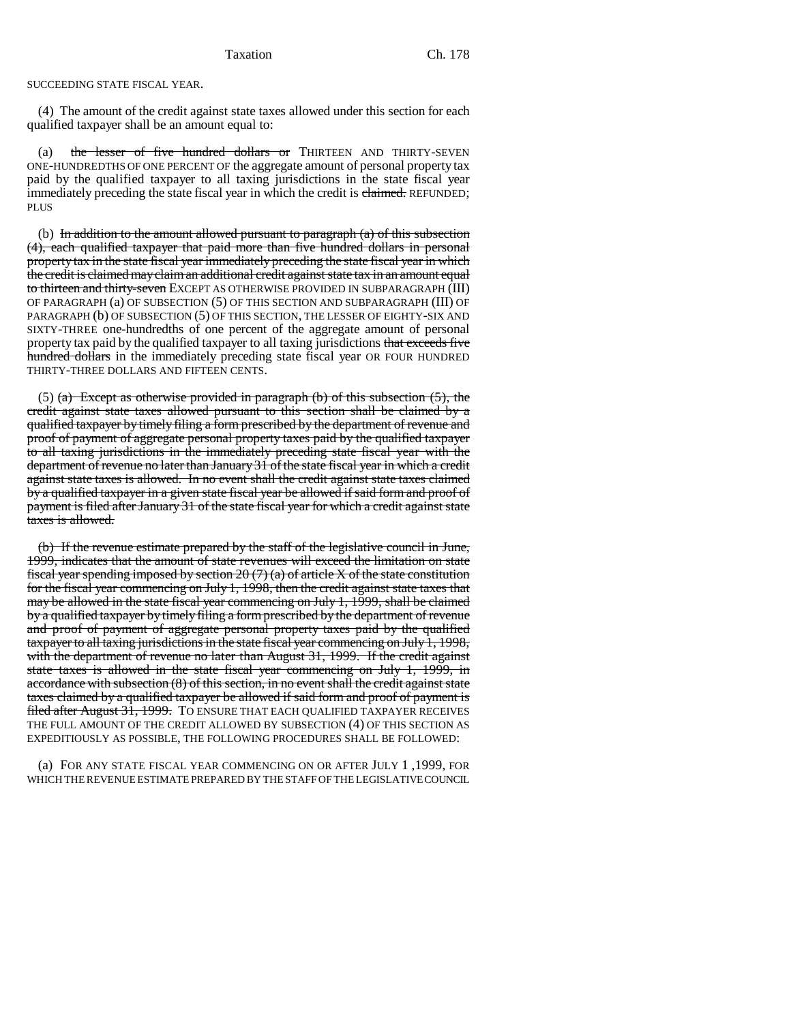SUCCEEDING STATE FISCAL YEAR.

(4) The amount of the credit against state taxes allowed under this section for each qualified taxpayer shall be an amount equal to:

(a) the lesser of five hundred dollars or THIRTEEN AND THIRTY-SEVEN ONE-HUNDREDTHS OF ONE PERCENT OF the aggregate amount of personal property tax paid by the qualified taxpayer to all taxing jurisdictions in the state fiscal year immediately preceding the state fiscal year in which the credit is claimed. REFUNDED; **PLUS** 

(b) In addition to the amount allowed pursuant to paragraph  $(a)$  of this subsection (4), each qualified taxpayer that paid more than five hundred dollars in personal property tax in the state fiscal year immediately preceding the state fiscal year in which the credit is claimed may claim an additional credit against state tax in an amount equal to thirteen and thirty-seven EXCEPT AS OTHERWISE PROVIDED IN SUBPARAGRAPH (III) OF PARAGRAPH (a) OF SUBSECTION (5) OF THIS SECTION AND SUBPARAGRAPH (III) OF PARAGRAPH (b) OF SUBSECTION (5) OF THIS SECTION, THE LESSER OF EIGHTY-SIX AND SIXTY-THREE one-hundredths of one percent of the aggregate amount of personal property tax paid by the qualified taxpayer to all taxing jurisdictions that exceeds five hundred dollars in the immediately preceding state fiscal year OR FOUR HUNDRED THIRTY-THREE DOLLARS AND FIFTEEN CENTS.

(5) (a) Except as otherwise provided in paragraph (b) of this subsection  $(5)$ , the credit against state taxes allowed pursuant to this section shall be claimed by a qualified taxpayer by timely filing a form prescribed by the department of revenue and proof of payment of aggregate personal property taxes paid by the qualified taxpayer to all taxing jurisdictions in the immediately preceding state fiscal year with the department of revenue no later than January 31 of the state fiscal year in which a credit against state taxes is allowed. In no event shall the credit against state taxes claimed by a qualified taxpayer in a given state fiscal year be allowed if said form and proof of payment is filed after January 31 of the state fiscal year for which a credit against state taxes is allowed.

(b) If the revenue estimate prepared by the staff of the legislative council in June, 1999, indicates that the amount of state revenues will exceed the limitation on state fiscal year spending imposed by section  $20(7)(a)$  of article X of the state constitution for the fiscal year commencing on July 1, 1998, then the credit against state taxes that may be allowed in the state fiscal year commencing on July 1, 1999, shall be claimed by a qualified taxpayer by timely filing a form prescribed by the department of revenue and proof of payment of aggregate personal property taxes paid by the qualified taxpayer to all taxing jurisdictions in the state fiscal year commencing on July 1, 1998, with the department of revenue no later than August 31, 1999. If the credit against state taxes is allowed in the state fiscal year commencing on July 1, 1999, in accordance with subsection (8) of this section, in no event shall the credit against state taxes claimed by a qualified taxpayer be allowed if said form and proof of payment is filed after August 31, 1999. TO ENSURE THAT EACH QUALIFIED TAXPAYER RECEIVES THE FULL AMOUNT OF THE CREDIT ALLOWED BY SUBSECTION (4) OF THIS SECTION AS EXPEDITIOUSLY AS POSSIBLE, THE FOLLOWING PROCEDURES SHALL BE FOLLOWED:

(a) FOR ANY STATE FISCAL YEAR COMMENCING ON OR AFTER JULY 1 ,1999, FOR WHICH THE REVENUE ESTIMATE PREPARED BY THE STAFF OF THE LEGISLATIVE COUNCIL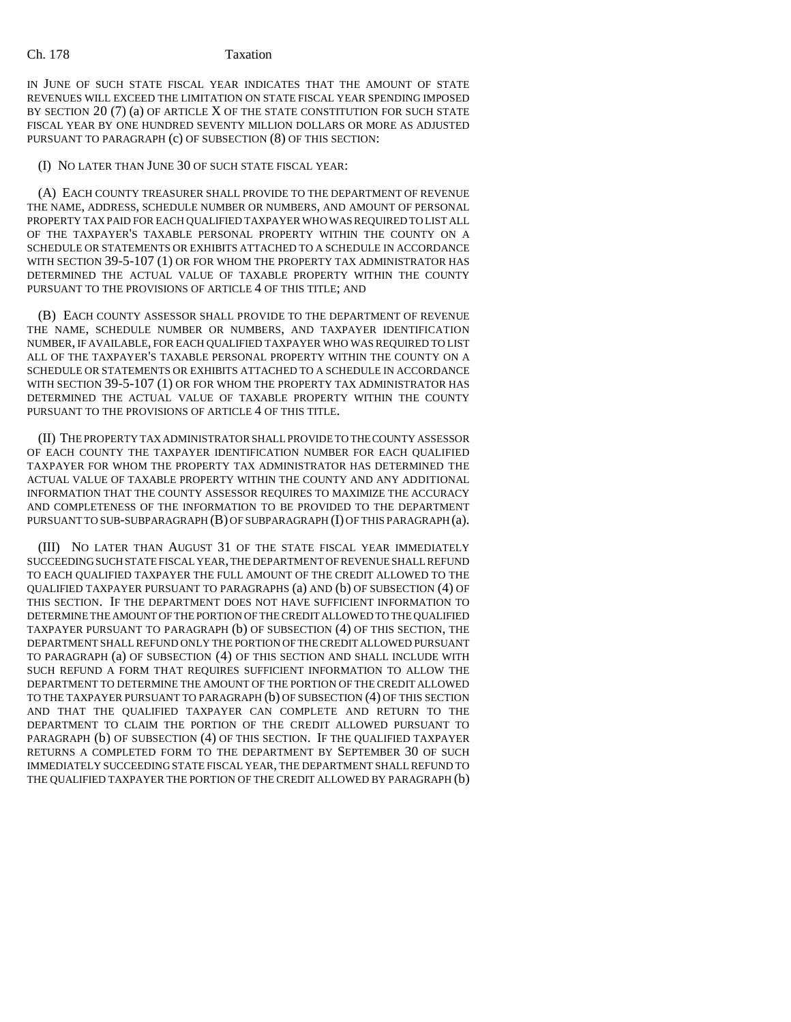IN JUNE OF SUCH STATE FISCAL YEAR INDICATES THAT THE AMOUNT OF STATE REVENUES WILL EXCEED THE LIMITATION ON STATE FISCAL YEAR SPENDING IMPOSED BY SECTION  $20(7)(a)$  OF ARTICLE X OF THE STATE CONSTITUTION FOR SUCH STATE FISCAL YEAR BY ONE HUNDRED SEVENTY MILLION DOLLARS OR MORE AS ADJUSTED PURSUANT TO PARAGRAPH (c) OF SUBSECTION (8) OF THIS SECTION:

### (I) NO LATER THAN JUNE 30 OF SUCH STATE FISCAL YEAR:

(A) EACH COUNTY TREASURER SHALL PROVIDE TO THE DEPARTMENT OF REVENUE THE NAME, ADDRESS, SCHEDULE NUMBER OR NUMBERS, AND AMOUNT OF PERSONAL PROPERTY TAX PAID FOR EACH QUALIFIED TAXPAYER WHO WAS REQUIRED TO LIST ALL OF THE TAXPAYER'S TAXABLE PERSONAL PROPERTY WITHIN THE COUNTY ON A SCHEDULE OR STATEMENTS OR EXHIBITS ATTACHED TO A SCHEDULE IN ACCORDANCE WITH SECTION 39-5-107 (1) OR FOR WHOM THE PROPERTY TAX ADMINISTRATOR HAS DETERMINED THE ACTUAL VALUE OF TAXABLE PROPERTY WITHIN THE COUNTY PURSUANT TO THE PROVISIONS OF ARTICLE 4 OF THIS TITLE; AND

(B) EACH COUNTY ASSESSOR SHALL PROVIDE TO THE DEPARTMENT OF REVENUE THE NAME, SCHEDULE NUMBER OR NUMBERS, AND TAXPAYER IDENTIFICATION NUMBER, IF AVAILABLE, FOR EACH QUALIFIED TAXPAYER WHO WAS REQUIRED TO LIST ALL OF THE TAXPAYER'S TAXABLE PERSONAL PROPERTY WITHIN THE COUNTY ON A SCHEDULE OR STATEMENTS OR EXHIBITS ATTACHED TO A SCHEDULE IN ACCORDANCE WITH SECTION 39-5-107 (1) OR FOR WHOM THE PROPERTY TAX ADMINISTRATOR HAS DETERMINED THE ACTUAL VALUE OF TAXABLE PROPERTY WITHIN THE COUNTY PURSUANT TO THE PROVISIONS OF ARTICLE 4 OF THIS TITLE.

(II) THE PROPERTY TAX ADMINISTRATOR SHALL PROVIDE TO THE COUNTY ASSESSOR OF EACH COUNTY THE TAXPAYER IDENTIFICATION NUMBER FOR EACH QUALIFIED TAXPAYER FOR WHOM THE PROPERTY TAX ADMINISTRATOR HAS DETERMINED THE ACTUAL VALUE OF TAXABLE PROPERTY WITHIN THE COUNTY AND ANY ADDITIONAL INFORMATION THAT THE COUNTY ASSESSOR REQUIRES TO MAXIMIZE THE ACCURACY AND COMPLETENESS OF THE INFORMATION TO BE PROVIDED TO THE DEPARTMENT PURSUANT TO SUB-SUBPARAGRAPH (B) OF SUBPARAGRAPH (I) OF THIS PARAGRAPH (a).

(III) NO LATER THAN AUGUST 31 OF THE STATE FISCAL YEAR IMMEDIATELY SUCCEEDING SUCH STATE FISCAL YEAR, THE DEPARTMENT OF REVENUE SHALL REFUND TO EACH QUALIFIED TAXPAYER THE FULL AMOUNT OF THE CREDIT ALLOWED TO THE QUALIFIED TAXPAYER PURSUANT TO PARAGRAPHS (a) AND (b) OF SUBSECTION (4) OF THIS SECTION. IF THE DEPARTMENT DOES NOT HAVE SUFFICIENT INFORMATION TO DETERMINE THE AMOUNT OF THE PORTION OF THE CREDIT ALLOWED TO THE QUALIFIED TAXPAYER PURSUANT TO PARAGRAPH (b) OF SUBSECTION (4) OF THIS SECTION, THE DEPARTMENT SHALL REFUND ONLY THE PORTION OF THE CREDIT ALLOWED PURSUANT TO PARAGRAPH (a) OF SUBSECTION (4) OF THIS SECTION AND SHALL INCLUDE WITH SUCH REFUND A FORM THAT REQUIRES SUFFICIENT INFORMATION TO ALLOW THE DEPARTMENT TO DETERMINE THE AMOUNT OF THE PORTION OF THE CREDIT ALLOWED TO THE TAXPAYER PURSUANT TO PARAGRAPH (b) OF SUBSECTION (4) OF THIS SECTION AND THAT THE QUALIFIED TAXPAYER CAN COMPLETE AND RETURN TO THE DEPARTMENT TO CLAIM THE PORTION OF THE CREDIT ALLOWED PURSUANT TO PARAGRAPH (b) OF SUBSECTION (4) OF THIS SECTION. IF THE QUALIFIED TAXPAYER RETURNS A COMPLETED FORM TO THE DEPARTMENT BY SEPTEMBER 30 OF SUCH IMMEDIATELY SUCCEEDING STATE FISCAL YEAR, THE DEPARTMENT SHALL REFUND TO THE QUALIFIED TAXPAYER THE PORTION OF THE CREDIT ALLOWED BY PARAGRAPH (b)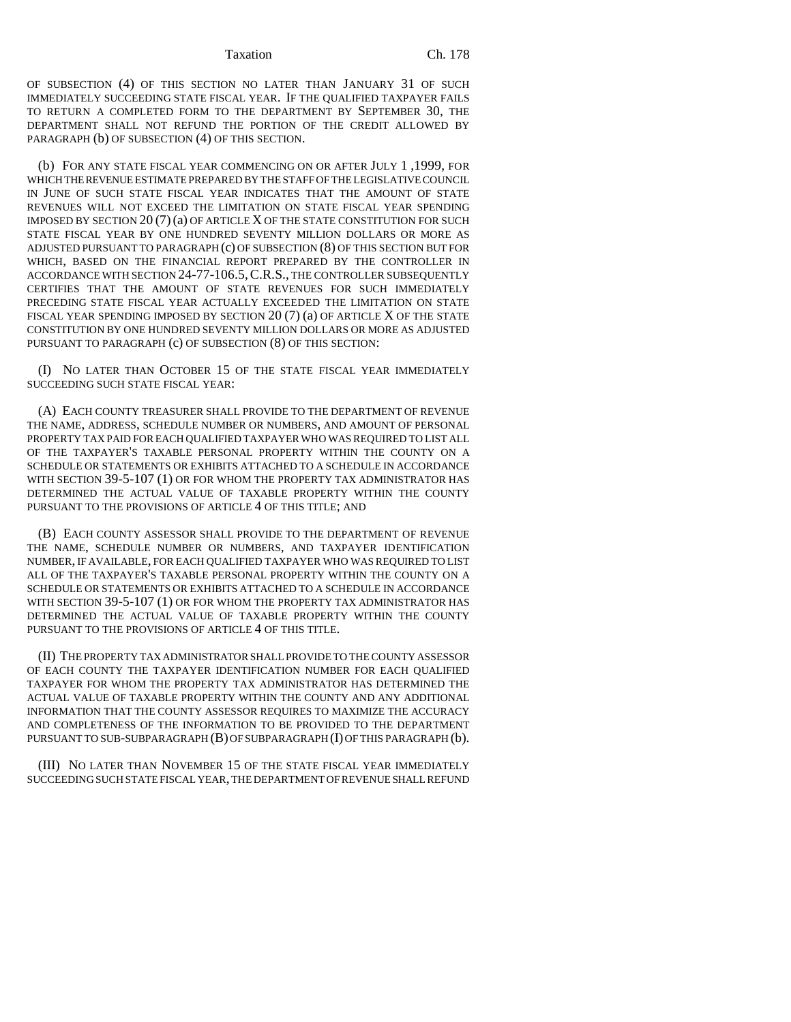#### Taxation Ch. 178

OF SUBSECTION (4) OF THIS SECTION NO LATER THAN JANUARY 31 OF SUCH IMMEDIATELY SUCCEEDING STATE FISCAL YEAR. IF THE QUALIFIED TAXPAYER FAILS TO RETURN A COMPLETED FORM TO THE DEPARTMENT BY SEPTEMBER 30, THE DEPARTMENT SHALL NOT REFUND THE PORTION OF THE CREDIT ALLOWED BY PARAGRAPH (b) OF SUBSECTION (4) OF THIS SECTION.

(b) FOR ANY STATE FISCAL YEAR COMMENCING ON OR AFTER JULY 1 ,1999, FOR WHICH THE REVENUE ESTIMATE PREPARED BY THE STAFF OF THE LEGISLATIVE COUNCIL IN JUNE OF SUCH STATE FISCAL YEAR INDICATES THAT THE AMOUNT OF STATE REVENUES WILL NOT EXCEED THE LIMITATION ON STATE FISCAL YEAR SPENDING IMPOSED BY SECTION  $20(7)(a)$  OF ARTICLE X OF THE STATE CONSTITUTION FOR SUCH STATE FISCAL YEAR BY ONE HUNDRED SEVENTY MILLION DOLLARS OR MORE AS ADJUSTED PURSUANT TO PARAGRAPH (c) OF SUBSECTION (8) OF THIS SECTION BUT FOR WHICH, BASED ON THE FINANCIAL REPORT PREPARED BY THE CONTROLLER IN ACCORDANCE WITH SECTION 24-77-106.5,C.R.S., THE CONTROLLER SUBSEQUENTLY CERTIFIES THAT THE AMOUNT OF STATE REVENUES FOR SUCH IMMEDIATELY PRECEDING STATE FISCAL YEAR ACTUALLY EXCEEDED THE LIMITATION ON STATE FISCAL YEAR SPENDING IMPOSED BY SECTION 20 (7) (a) OF ARTICLE X OF THE STATE CONSTITUTION BY ONE HUNDRED SEVENTY MILLION DOLLARS OR MORE AS ADJUSTED PURSUANT TO PARAGRAPH (c) OF SUBSECTION (8) OF THIS SECTION:

(I) NO LATER THAN OCTOBER 15 OF THE STATE FISCAL YEAR IMMEDIATELY SUCCEEDING SUCH STATE FISCAL YEAR:

(A) EACH COUNTY TREASURER SHALL PROVIDE TO THE DEPARTMENT OF REVENUE THE NAME, ADDRESS, SCHEDULE NUMBER OR NUMBERS, AND AMOUNT OF PERSONAL PROPERTY TAX PAID FOR EACH QUALIFIED TAXPAYER WHO WAS REQUIRED TO LIST ALL OF THE TAXPAYER'S TAXABLE PERSONAL PROPERTY WITHIN THE COUNTY ON A SCHEDULE OR STATEMENTS OR EXHIBITS ATTACHED TO A SCHEDULE IN ACCORDANCE WITH SECTION 39-5-107 (1) OR FOR WHOM THE PROPERTY TAX ADMINISTRATOR HAS DETERMINED THE ACTUAL VALUE OF TAXABLE PROPERTY WITHIN THE COUNTY PURSUANT TO THE PROVISIONS OF ARTICLE 4 OF THIS TITLE; AND

(B) EACH COUNTY ASSESSOR SHALL PROVIDE TO THE DEPARTMENT OF REVENUE THE NAME, SCHEDULE NUMBER OR NUMBERS, AND TAXPAYER IDENTIFICATION NUMBER, IF AVAILABLE, FOR EACH QUALIFIED TAXPAYER WHO WAS REQUIRED TO LIST ALL OF THE TAXPAYER'S TAXABLE PERSONAL PROPERTY WITHIN THE COUNTY ON A SCHEDULE OR STATEMENTS OR EXHIBITS ATTACHED TO A SCHEDULE IN ACCORDANCE WITH SECTION 39-5-107 (1) OR FOR WHOM THE PROPERTY TAX ADMINISTRATOR HAS DETERMINED THE ACTUAL VALUE OF TAXABLE PROPERTY WITHIN THE COUNTY PURSUANT TO THE PROVISIONS OF ARTICLE 4 OF THIS TITLE.

(II) THE PROPERTY TAX ADMINISTRATOR SHALL PROVIDE TO THE COUNTY ASSESSOR OF EACH COUNTY THE TAXPAYER IDENTIFICATION NUMBER FOR EACH QUALIFIED TAXPAYER FOR WHOM THE PROPERTY TAX ADMINISTRATOR HAS DETERMINED THE ACTUAL VALUE OF TAXABLE PROPERTY WITHIN THE COUNTY AND ANY ADDITIONAL INFORMATION THAT THE COUNTY ASSESSOR REQUIRES TO MAXIMIZE THE ACCURACY AND COMPLETENESS OF THE INFORMATION TO BE PROVIDED TO THE DEPARTMENT PURSUANT TO SUB-SUBPARAGRAPH  $(B)$  OF SUBPARAGRAPH  $(I)$  OF THIS PARAGRAPH  $(b)$ .

(III) NO LATER THAN NOVEMBER 15 OF THE STATE FISCAL YEAR IMMEDIATELY SUCCEEDING SUCH STATE FISCAL YEAR, THE DEPARTMENT OF REVENUE SHALL REFUND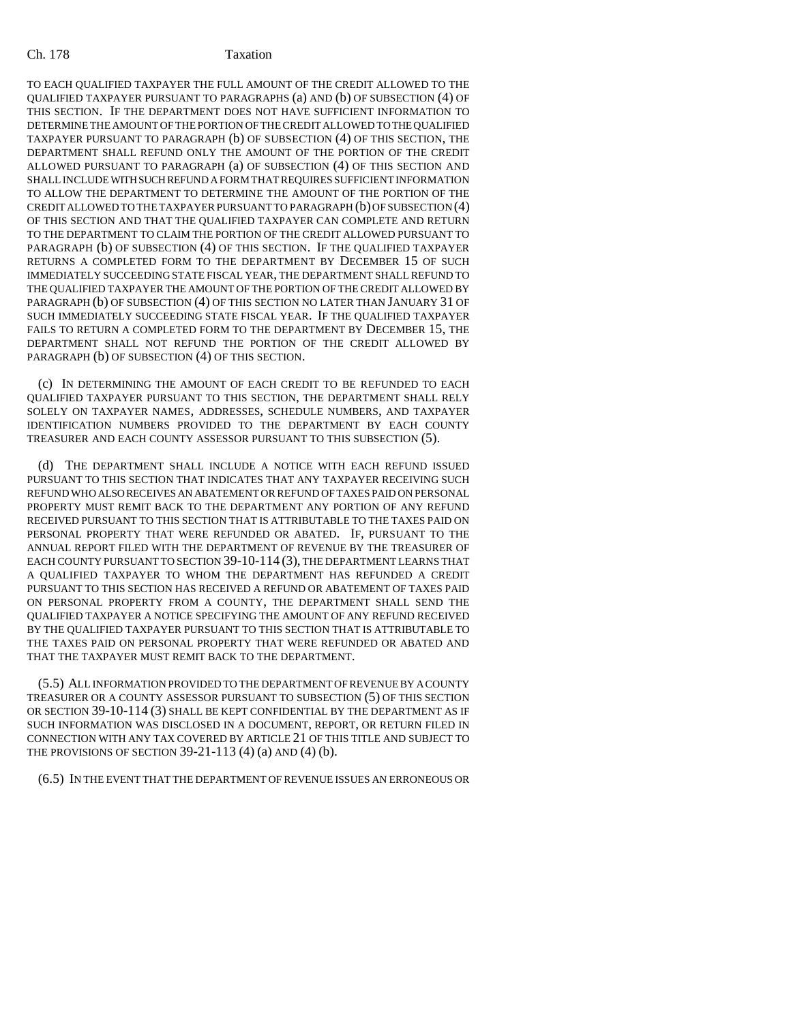TO EACH QUALIFIED TAXPAYER THE FULL AMOUNT OF THE CREDIT ALLOWED TO THE QUALIFIED TAXPAYER PURSUANT TO PARAGRAPHS (a) AND (b) OF SUBSECTION (4) OF THIS SECTION. IF THE DEPARTMENT DOES NOT HAVE SUFFICIENT INFORMATION TO DETERMINE THE AMOUNT OF THE PORTION OF THE CREDIT ALLOWED TO THE QUALIFIED TAXPAYER PURSUANT TO PARAGRAPH (b) OF SUBSECTION (4) OF THIS SECTION, THE DEPARTMENT SHALL REFUND ONLY THE AMOUNT OF THE PORTION OF THE CREDIT ALLOWED PURSUANT TO PARAGRAPH (a) OF SUBSECTION (4) OF THIS SECTION AND SHALL INCLUDE WITH SUCH REFUND A FORM THAT REQUIRES SUFFICIENT INFORMATION TO ALLOW THE DEPARTMENT TO DETERMINE THE AMOUNT OF THE PORTION OF THE CREDIT ALLOWED TO THE TAXPAYER PURSUANT TO PARAGRAPH (b) OF SUBSECTION (4) OF THIS SECTION AND THAT THE QUALIFIED TAXPAYER CAN COMPLETE AND RETURN TO THE DEPARTMENT TO CLAIM THE PORTION OF THE CREDIT ALLOWED PURSUANT TO PARAGRAPH (b) OF SUBSECTION (4) OF THIS SECTION. IF THE QUALIFIED TAXPAYER RETURNS A COMPLETED FORM TO THE DEPARTMENT BY DECEMBER 15 OF SUCH IMMEDIATELY SUCCEEDING STATE FISCAL YEAR, THE DEPARTMENT SHALL REFUND TO THE QUALIFIED TAXPAYER THE AMOUNT OF THE PORTION OF THE CREDIT ALLOWED BY PARAGRAPH (b) OF SUBSECTION (4) OF THIS SECTION NO LATER THAN JANUARY 31 OF SUCH IMMEDIATELY SUCCEEDING STATE FISCAL YEAR. IF THE QUALIFIED TAXPAYER FAILS TO RETURN A COMPLETED FORM TO THE DEPARTMENT BY DECEMBER 15, THE DEPARTMENT SHALL NOT REFUND THE PORTION OF THE CREDIT ALLOWED BY PARAGRAPH (b) OF SUBSECTION (4) OF THIS SECTION.

(c) IN DETERMINING THE AMOUNT OF EACH CREDIT TO BE REFUNDED TO EACH QUALIFIED TAXPAYER PURSUANT TO THIS SECTION, THE DEPARTMENT SHALL RELY SOLELY ON TAXPAYER NAMES, ADDRESSES, SCHEDULE NUMBERS, AND TAXPAYER IDENTIFICATION NUMBERS PROVIDED TO THE DEPARTMENT BY EACH COUNTY TREASURER AND EACH COUNTY ASSESSOR PURSUANT TO THIS SUBSECTION (5).

(d) THE DEPARTMENT SHALL INCLUDE A NOTICE WITH EACH REFUND ISSUED PURSUANT TO THIS SECTION THAT INDICATES THAT ANY TAXPAYER RECEIVING SUCH REFUND WHO ALSO RECEIVES AN ABATEMENT OR REFUND OF TAXES PAID ON PERSONAL PROPERTY MUST REMIT BACK TO THE DEPARTMENT ANY PORTION OF ANY REFUND RECEIVED PURSUANT TO THIS SECTION THAT IS ATTRIBUTABLE TO THE TAXES PAID ON PERSONAL PROPERTY THAT WERE REFUNDED OR ABATED. IF, PURSUANT TO THE ANNUAL REPORT FILED WITH THE DEPARTMENT OF REVENUE BY THE TREASURER OF EACH COUNTY PURSUANT TO SECTION 39-10-114 (3), THE DEPARTMENT LEARNS THAT A QUALIFIED TAXPAYER TO WHOM THE DEPARTMENT HAS REFUNDED A CREDIT PURSUANT TO THIS SECTION HAS RECEIVED A REFUND OR ABATEMENT OF TAXES PAID ON PERSONAL PROPERTY FROM A COUNTY, THE DEPARTMENT SHALL SEND THE QUALIFIED TAXPAYER A NOTICE SPECIFYING THE AMOUNT OF ANY REFUND RECEIVED BY THE QUALIFIED TAXPAYER PURSUANT TO THIS SECTION THAT IS ATTRIBUTABLE TO THE TAXES PAID ON PERSONAL PROPERTY THAT WERE REFUNDED OR ABATED AND THAT THE TAXPAYER MUST REMIT BACK TO THE DEPARTMENT.

(5.5) ALL INFORMATION PROVIDED TO THE DEPARTMENT OF REVENUE BY A COUNTY TREASURER OR A COUNTY ASSESSOR PURSUANT TO SUBSECTION (5) OF THIS SECTION OR SECTION 39-10-114 (3) SHALL BE KEPT CONFIDENTIAL BY THE DEPARTMENT AS IF SUCH INFORMATION WAS DISCLOSED IN A DOCUMENT, REPORT, OR RETURN FILED IN CONNECTION WITH ANY TAX COVERED BY ARTICLE 21 OF THIS TITLE AND SUBJECT TO THE PROVISIONS OF SECTION  $39-21-113$  (4) (a) AND (4) (b).

(6.5) IN THE EVENT THAT THE DEPARTMENT OF REVENUE ISSUES AN ERRONEOUS OR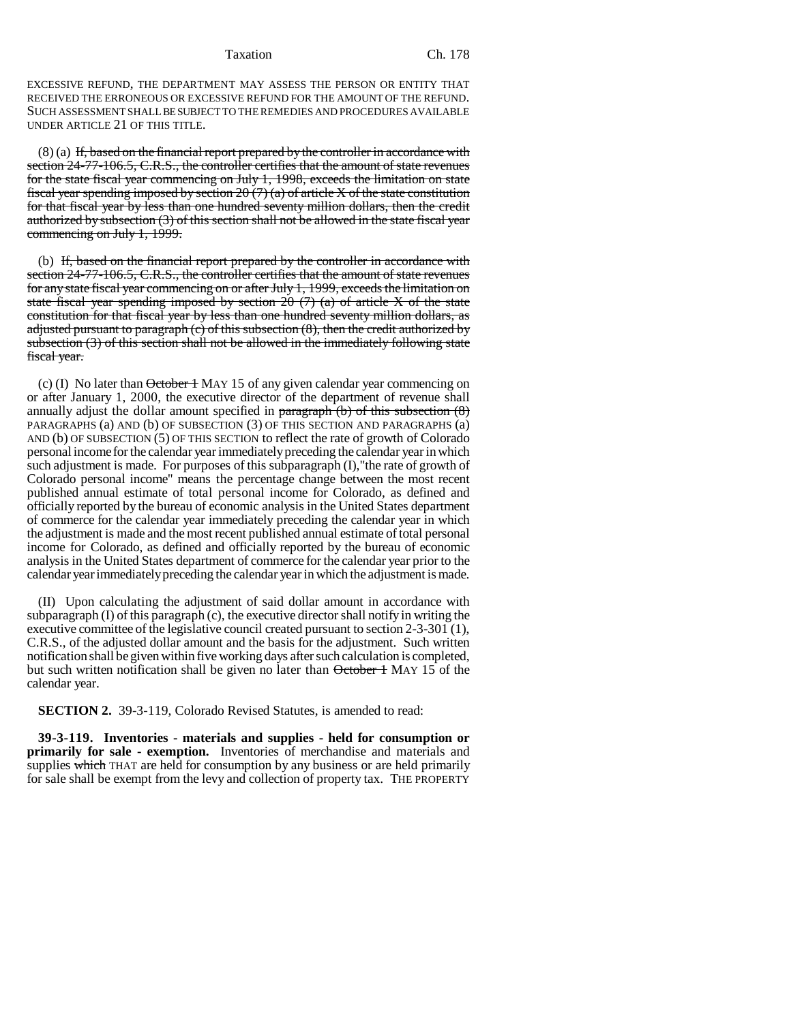Taxation Ch. 178

EXCESSIVE REFUND, THE DEPARTMENT MAY ASSESS THE PERSON OR ENTITY THAT RECEIVED THE ERRONEOUS OR EXCESSIVE REFUND FOR THE AMOUNT OF THE REFUND. SUCH ASSESSMENT SHALL BE SUBJECT TO THE REMEDIES AND PROCEDURES AVAILABLE UNDER ARTICLE 21 OF THIS TITLE.

(8) (a) If, based on the financial report prepared by the controller in accordance with section 24-77-106.5, C.R.S., the controller certifies that the amount of state revenues for the state fiscal year commencing on July 1, 1998, exceeds the limitation on state fiscal year spending imposed by section 20  $(7)$  (a) of article X of the state constitution for that fiscal year by less than one hundred seventy million dollars, then the credit authorized by subsection (3) of this section shall not be allowed in the state fiscal year commencing on July 1, 1999.

(b) If, based on the financial report prepared by the controller in accordance with section 24-77-106.5, C.R.S., the controller certifies that the amount of state revenues for any state fiscal year commencing on or after July 1, 1999, exceeds the limitation on state fiscal year spending imposed by section  $20(7)$  (a) of article X of the state constitution for that fiscal year by less than one hundred seventy million dollars, as adjusted pursuant to paragraph (c) of this subsection (8), then the credit authorized by subsection (3) of this section shall not be allowed in the immediately following state fiscal year.

(c) (I) No later than October 1 MAY 15 of any given calendar year commencing on or after January 1, 2000, the executive director of the department of revenue shall annually adjust the dollar amount specified in paragraph  $(b)$  of this subsection  $(8)$ PARAGRAPHS (a) AND (b) OF SUBSECTION (3) OF THIS SECTION AND PARAGRAPHS (a) AND (b) OF SUBSECTION (5) OF THIS SECTION to reflect the rate of growth of Colorado personal income for the calendar year immediately preceding the calendar year in which such adjustment is made. For purposes of this subparagraph (I),"the rate of growth of Colorado personal income" means the percentage change between the most recent published annual estimate of total personal income for Colorado, as defined and officially reported by the bureau of economic analysis in the United States department of commerce for the calendar year immediately preceding the calendar year in which the adjustment is made and the most recent published annual estimate of total personal income for Colorado, as defined and officially reported by the bureau of economic analysis in the United States department of commerce for the calendar year prior to the calendar year immediately preceding the calendar year in which the adjustment is made.

(II) Upon calculating the adjustment of said dollar amount in accordance with subparagraph (I) of this paragraph (c), the executive director shall notify in writing the executive committee of the legislative council created pursuant to section 2-3-301 (1), C.R.S., of the adjusted dollar amount and the basis for the adjustment. Such written notification shall be given within five working days after such calculation is completed, but such written notification shall be given no later than  $\theta$ ctober 1 MAY 15 of the calendar year.

**SECTION 2.** 39-3-119, Colorado Revised Statutes, is amended to read:

**39-3-119. Inventories - materials and supplies - held for consumption or primarily for sale - exemption.** Inventories of merchandise and materials and supplies which THAT are held for consumption by any business or are held primarily for sale shall be exempt from the levy and collection of property tax. THE PROPERTY